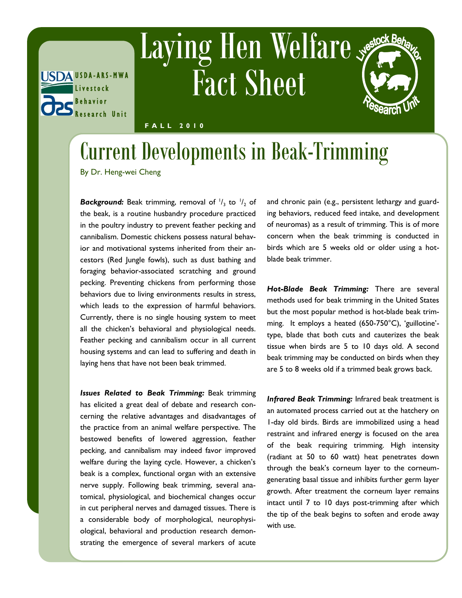

## Laying Hen Welfare Fact Sheet



**F A L L 2 0 1 0**

## Current Developments in Beak-Trimming

By Dr. Heng-wei Cheng

**Background:** Beak trimming, removal of  $\frac{1}{3}$  to  $\frac{1}{2}$  of the beak, is a routine husbandry procedure practiced in the poultry industry to prevent feather pecking and cannibalism. Domestic chickens possess natural behavior and motivational systems inherited from their ancestors (Red Jungle fowls), such as dust bathing and foraging behavior-associated scratching and ground pecking. Preventing chickens from performing those behaviors due to living environments results in stress, which leads to the expression of harmful behaviors. Currently, there is no single housing system to meet all the chicken's behavioral and physiological needs. Feather pecking and cannibalism occur in all current housing systems and can lead to suffering and death in laying hens that have not been beak trimmed.

*Issues Related to Beak Trimming:* Beak trimming has elicited a great deal of debate and research concerning the relative advantages and disadvantages of the practice from an animal welfare perspective. The bestowed benefits of lowered aggression, feather pecking, and cannibalism may indeed favor improved welfare during the laying cycle. However, a chicken's beak is a complex, functional organ with an extensive nerve supply. Following beak trimming, several anatomical, physiological, and biochemical changes occur in cut peripheral nerves and damaged tissues. There is a considerable body of morphological, neurophysiological, behavioral and production research demonstrating the emergence of several markers of acute

and chronic pain (e.g., persistent lethargy and guarding behaviors, reduced feed intake, and development of neuromas) as a result of trimming. This is of more concern when the beak trimming is conducted in birds which are 5 weeks old or older using a hotblade beak trimmer.

*Hot-Blade Beak Trimming:* There are several methods used for beak trimming in the United States but the most popular method is hot-blade beak trimming. It employs a heated (650-750°C), 'guillotine' type, blade that both cuts and cauterizes the beak tissue when birds are 5 to 10 days old. A second beak trimming may be conducted on birds when they are 5 to 8 weeks old if a trimmed beak grows back.

*Infrared Beak Trimming:* Infrared beak treatment is an automated process carried out at the hatchery on 1-day old birds. Birds are immobilized using a head restraint and infrared energy is focused on the area of the beak requiring trimming. High intensity (radiant at 50 to 60 watt) heat penetrates down through the beak's corneum layer to the corneumgenerating basal tissue and inhibits further germ layer growth. After treatment the corneum layer remains intact until 7 to 10 days post-trimming after which the tip of the beak begins to soften and erode away with use.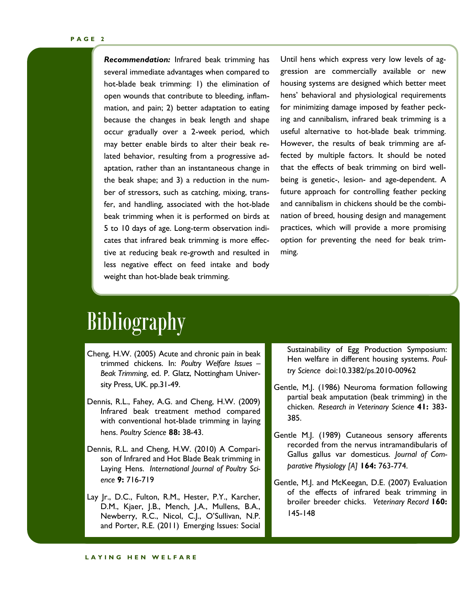*Recommendation:* Infrared beak trimming has several immediate advantages when compared to hot-blade beak trimming: 1) the elimination of open wounds that contribute to bleeding, inflammation, and pain; 2) better adaptation to eating because the changes in beak length and shape occur gradually over a 2-week period, which may better enable birds to alter their beak related behavior, resulting from a progressive adaptation, rather than an instantaneous change in the beak shape; and 3) a reduction in the number of stressors, such as catching, mixing, transfer, and handling, associated with the hot-blade beak trimming when it is performed on birds at 5 to 10 days of age. Long-term observation indicates that infrared beak trimming is more effective at reducing beak re-growth and resulted in less negative effect on feed intake and body weight than hot-blade beak trimming.

Until hens which express very low levels of aggression are commercially available or new housing systems are designed which better meet hens' behavioral and physiological requirements for minimizing damage imposed by feather pecking and cannibalism, infrared beak trimming is a useful alternative to hot-blade beak trimming. However, the results of beak trimming are affected by multiple factors. It should be noted that the effects of beak trimming on bird wellbeing is genetic-, lesion- and age-dependent. A future approach for controlling feather pecking and cannibalism in chickens should be the combination of breed, housing design and management practices, which will provide a more promising option for preventing the need for beak trimming.

## **Bibliography**

- Cheng, H.W. (2005) Acute and chronic pain in beak trimmed chickens. In: *Poultry Welfare Issues – Beak Trimming*, ed. P. Glatz, Nottingham University Press, UK. pp.31-49.
- Dennis, R.L., Fahey, A.G. and Cheng, H.W. (2009) Infrared beak treatment method compared with conventional hot-blade trimming in laying hens. *Poultry Science* **88:** 38-43.
- Dennis, R.L. and Cheng, H.W. (2010) A Comparison of Infrared and Hot Blade Beak trimming in Laying Hens. *International Journal of Poultry Science* **9:** 716-719
- Lay Jr., D.C., Fulton, R.M., Hester, P.Y., Karcher, D.M., Kjaer, J.B., Mench, J.A., Mullens, B.A., Newberry, R.C., Nicol, C.J., O'Sullivan, N.P. and Porter, R.E. (2011) Emerging Issues: Social

Sustainability of Egg Production Symposium: Hen welfare in different housing systems. *Poultry Science* doi:10.3382/ps.2010-00962

- Gentle, M.J. (1986) Neuroma formation following partial beak amputation (beak trimming) in the chicken. *Research in Veterinary Science* **41:** 383- 385.
- Gentle M.J. (1989) Cutaneous sensory afferents recorded from the nervus intramandibularis of Gallus gallus var domesticus. *Journal of Comparative Physiology [A]* **164:** 763-774.
- Gentle, M.J. and McKeegan, D.E. (2007) Evaluation of the effects of infrared beak trimming in broiler breeder chicks. *Veterinary Record* **160:**  145-148